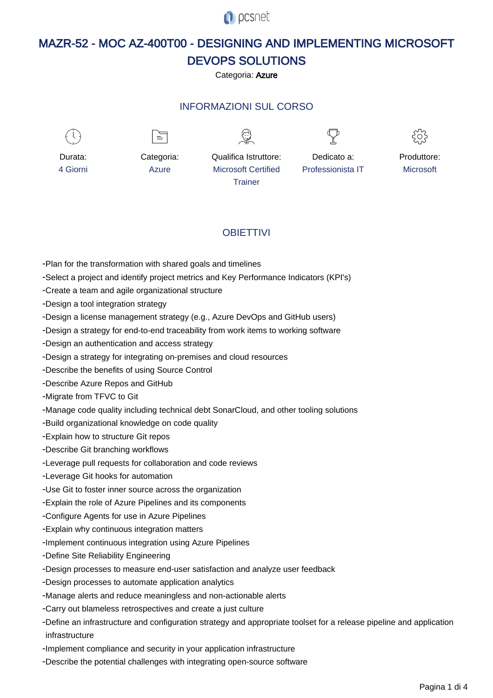**O** pcsnet

# MAZR-52 - MOC AZ-400T00 - DESIGNING AND IMPLEMENTING MICROSOFT DEVOPS SOLUTIONS

Categoria: Azure

# INFORMAZIONI SUL CORSO

Microsoft Certified **Trainer** 



Durata: 4 Giorni

Categoria: Azure

 $\equiv$ 



Qualifica Istruttore:

Dedicato a: Professionista IT



Produttore: **Microsoft** 

# **OBIFTTIVI**

- Plan for the transformation with shared goals and timelines
- Select a project and identify project metrics and Key Performance Indicators (KPI's)
- Create a team and agile organizational structure
- Design a tool integration strategy
- Design a license management strategy (e.g., Azure DevOps and GitHub users)
- Design a strategy for end-to-end traceability from work items to working software
- Design an authentication and access strategy
- Design a strategy for integrating on-premises and cloud resources
- Describe the benefits of using Source Control
- Describe Azure Repos and GitHub
- Migrate from TFVC to Git
- Manage code quality including technical debt SonarCloud, and other tooling solutions
- Build organizational knowledge on code quality
- Explain how to structure Git repos
- Describe Git branching workflows
- Leverage pull requests for collaboration and code reviews
- Leverage Git hooks for automation
- Use Git to foster inner source across the organization
- Explain the role of Azure Pipelines and its components
- Configure Agents for use in Azure Pipelines
- Explain why continuous integration matters
- Implement continuous integration using Azure Pipelines
- Define Site Reliability Engineering
- Design processes to measure end-user satisfaction and analyze user feedback
- Design processes to automate application analytics
- Manage alerts and reduce meaningless and non-actionable alerts
- Carry out blameless retrospectives and create a just culture
- Define an infrastructure and configuration strategy and appropriate toolset for a release pipeline and application infrastructure
- Implement compliance and security in your application infrastructure
- Describe the potential challenges with integrating open-source software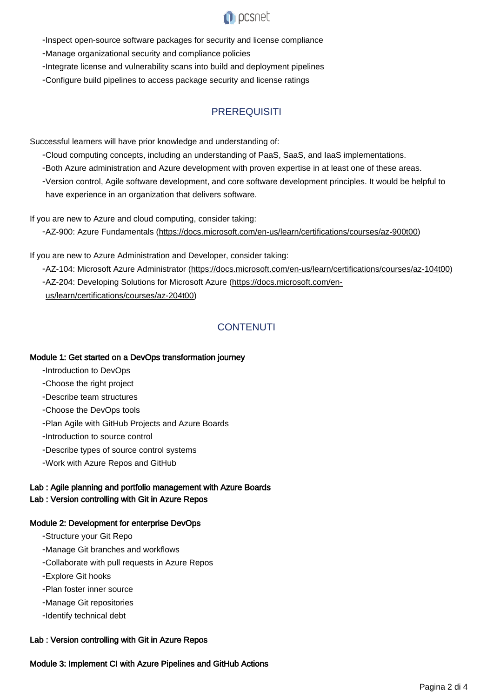

- Inspect open-source software packages for security and license compliance

- Manage organizational security and compliance policies

- Integrate license and vulnerability scans into build and deployment pipelines
- Configure build pipelines to access package security and license ratings

# **PREREQUISITI**

Successful learners will have prior knowledge and understanding of:

- Cloud computing concepts, including an understanding of PaaS, SaaS, and IaaS implementations.
- Both Azure administration and Azure development with proven expertise in at least one of these areas.
- Version control, Agile software development, and core software development principles. It would be helpful to have experience in an organization that delivers software.

If you are new to Azure and cloud computing, consider taking:

- AZ-900: Azure Fundamentals (<https://docs.microsoft.com/en-us/learn/certifications/courses/az-900t00>)

If you are new to Azure Administration and Developer, consider taking:

-AZ-104: Microsoft Azure Administrator ([https://docs.microsoft.com/en-us/learn/certifications/courses/az-104t00\)](https://docs.microsoft.com/en-us/learn/certifications/courses/az-104t00) -AZ-204: Developing Solutions for Microsoft Azure [\(https://docs.microsoft.com/en](https://docs.microsoft.com/en-us/learn/certifications/courses/az-204t00)[us/learn/certifications/courses/az-204t00\)](https://docs.microsoft.com/en-us/learn/certifications/courses/az-204t00)

# **CONTENUTI**

#### Module 1: Get started on a DevOps transformation journey

- Introduction to DevOps
- Choose the right project
- Describe team structures
- Choose the DevOps tools
- Plan Agile with GitHub Projects and Azure Boards
- Introduction to source control
- Describe types of source control systems
- Work with Azure Repos and GitHub

### Lab : Agile planning and portfolio management with Azure Boards Lab : Version controlling with Git in Azure Repos

#### Module 2: Development for enterprise DevOps

- Structure your Git Repo
- Manage Git branches and workflows
- Collaborate with pull requests in Azure Repos
- Explore Git hooks
- Plan foster inner source
- Manage Git repositories
- Identify technical debt

#### Lab : Version controlling with Git in Azure Repos

#### Module 3: Implement CI with Azure Pipelines and GitHub Actions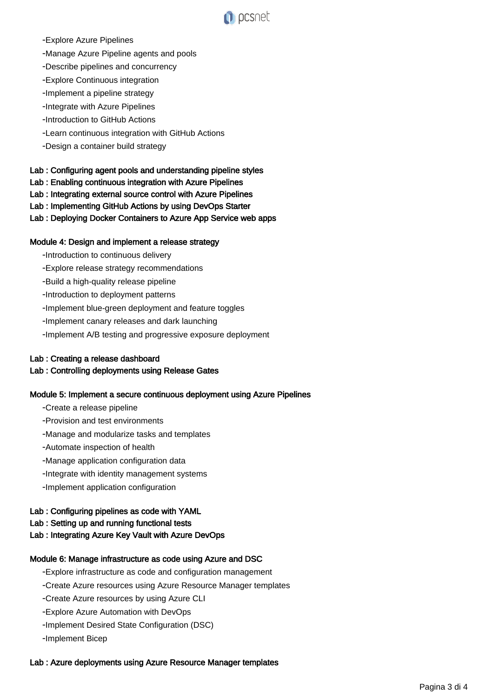

- Explore Azure Pipelines

- Manage Azure Pipeline agents and pools
- Describe pipelines and concurrency
- Explore Continuous integration
- Implement a pipeline strategy
- Integrate with Azure Pipelines
- Introduction to GitHub Actions
- Learn continuous integration with GitHub Actions
- Design a container build strategy

#### Lab : Configuring agent pools and understanding pipeline styles

- Lab : Enabling continuous integration with Azure Pipelines
- Lab : Integrating external source control with Azure Pipelines
- Lab : Implementing GitHub Actions by using DevOps Starter
- Lab : Deploying Docker Containers to Azure App Service web apps

#### Module 4: Design and implement a release strategy

- Introduction to continuous delivery
- Explore release strategy recommendations
- Build a high-quality release pipeline
- Introduction to deployment patterns
- Implement blue-green deployment and feature toggles
- Implement canary releases and dark launching
- Implement A/B testing and progressive exposure deployment

#### Lab : Creating a release dashboard

#### Lab : Controlling deployments using Release Gates

#### Module 5: Implement a secure continuous deployment using Azure Pipelines

- Create a release pipeline
- Provision and test environments
- Manage and modularize tasks and templates
- Automate inspection of health
- Manage application configuration data
- Integrate with identity management systems
- Implement application configuration

### Lab : Configuring pipelines as code with YAML

#### Lab : Setting up and running functional tests

Lab : Integrating Azure Key Vault with Azure DevOps

#### Module 6: Manage infrastructure as code using Azure and DSC

- Explore infrastructure as code and configuration management
- Create Azure resources using Azure Resource Manager templates
- Create Azure resources by using Azure CLI
- Explore Azure Automation with DevOps
- Implement Desired State Configuration (DSC)
- Implement Bicep

#### Lab : Azure deployments using Azure Resource Manager templates